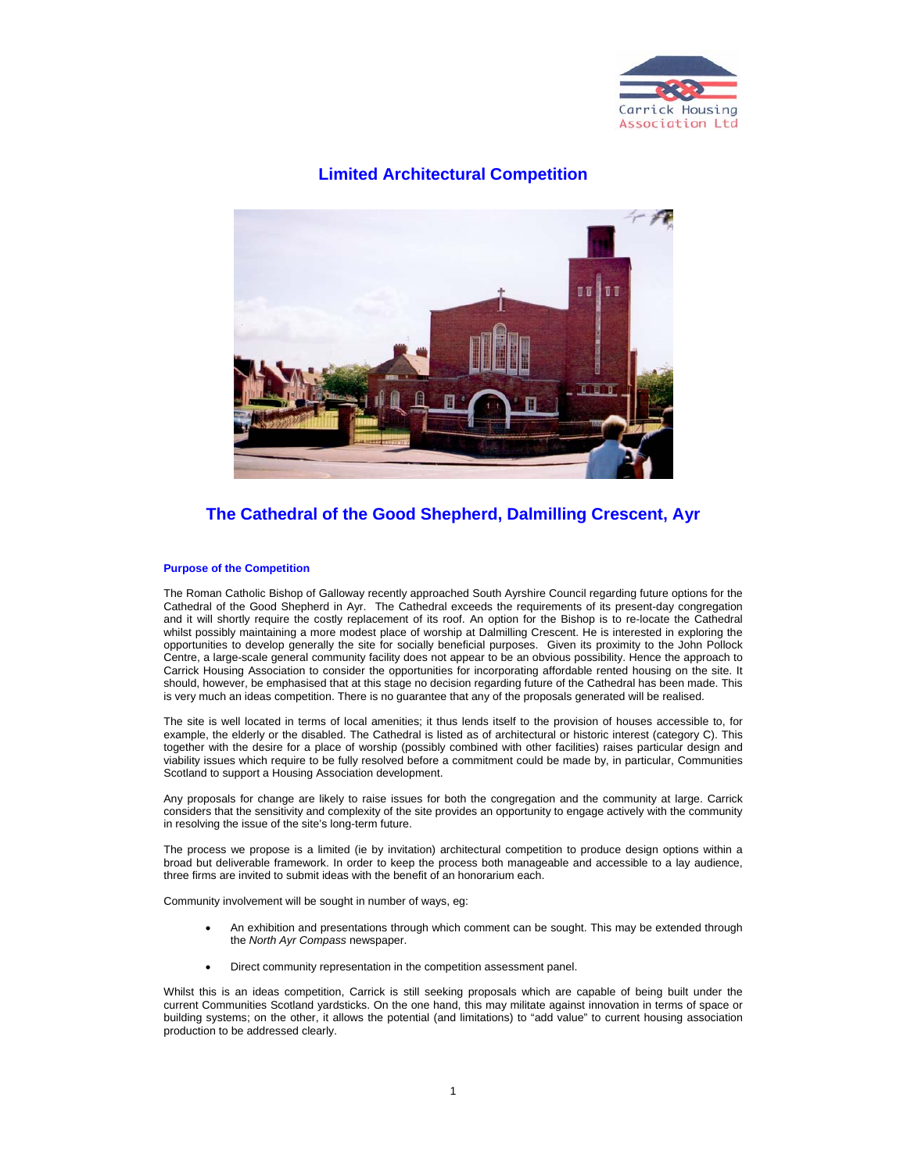

# **Limited Architectural Competition**



# **The Cathedral of the Good Shepherd, Dalmilling Crescent, Ayr**

#### **Purpose of the Competition**

The Roman Catholic Bishop of Galloway recently approached South Ayrshire Council regarding future options for the Cathedral of the Good Shepherd in Ayr. The Cathedral exceeds the requirements of its present-day congregation and it will shortly require the costly replacement of its roof. An option for the Bishop is to re-locate the Cathedral whilst possibly maintaining a more modest place of worship at Dalmilling Crescent. He is interested in exploring the opportunities to develop generally the site for socially beneficial purposes. Given its proximity to the John Pollock Centre, a large-scale general community facility does not appear to be an obvious possibility. Hence the approach to Carrick Housing Association to consider the opportunities for incorporating affordable rented housing on the site. It should, however, be emphasised that at this stage no decision regarding future of the Cathedral has been made. This is very much an ideas competition. There is no guarantee that any of the proposals generated will be realised.

The site is well located in terms of local amenities; it thus lends itself to the provision of houses accessible to, for example, the elderly or the disabled. The Cathedral is listed as of architectural or historic interest (category C). This together with the desire for a place of worship (possibly combined with other facilities) raises particular design and viability issues which require to be fully resolved before a commitment could be made by, in particular, Communities Scotland to support a Housing Association development.

Any proposals for change are likely to raise issues for both the congregation and the community at large. Carrick considers that the sensitivity and complexity of the site provides an opportunity to engage actively with the community in resolving the issue of the site's long-term future.

The process we propose is a limited (ie by invitation) architectural competition to produce design options within a broad but deliverable framework. In order to keep the process both manageable and accessible to a lay audience, three firms are invited to submit ideas with the benefit of an honorarium each.

Community involvement will be sought in number of ways, eg:

- An exhibition and presentations through which comment can be sought. This may be extended through the *North Ayr Compass* newspaper.
- Direct community representation in the competition assessment panel.

Whilst this is an ideas competition, Carrick is still seeking proposals which are capable of being built under the current Communities Scotland yardsticks. On the one hand, this may militate against innovation in terms of space or building systems; on the other, it allows the potential (and limitations) to "add value" to current housing association production to be addressed clearly.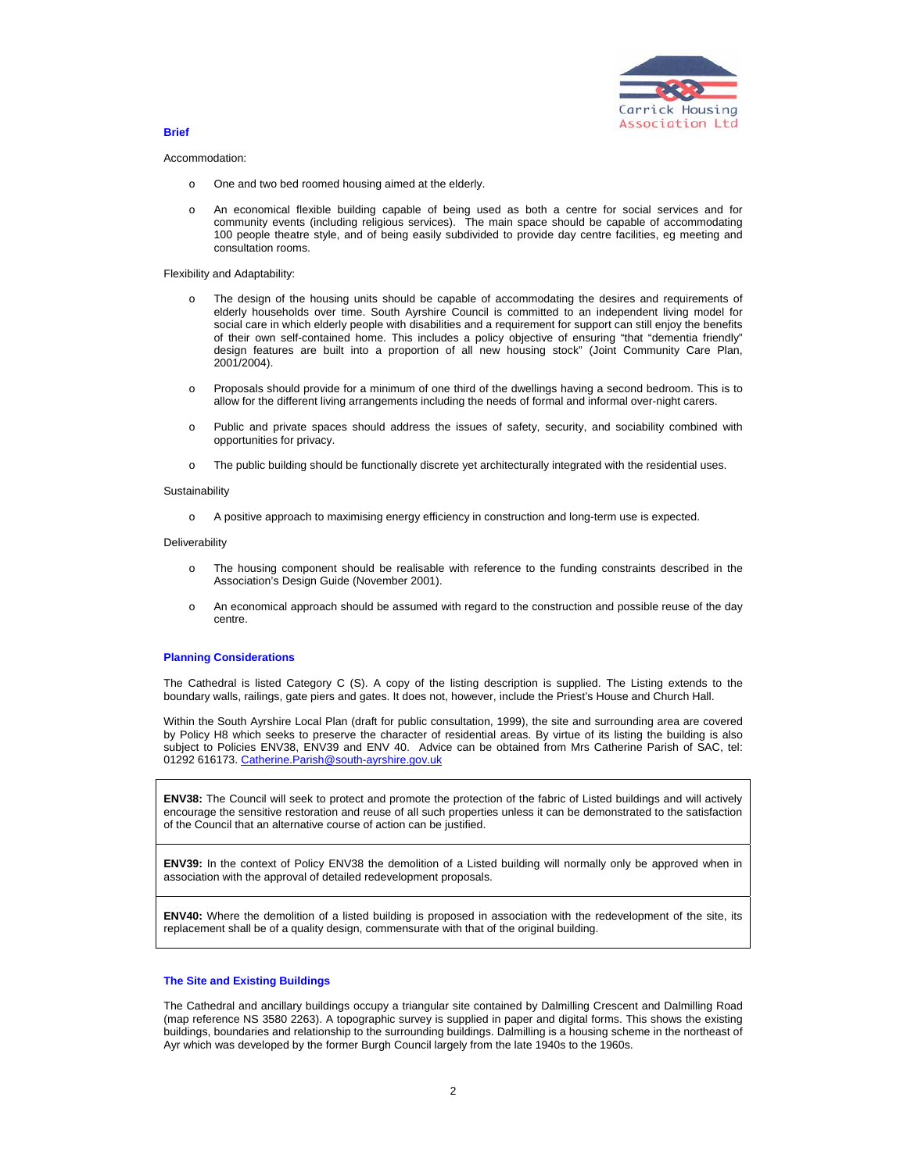

**Brief** 

#### Accommodation:

- o One and two bed roomed housing aimed at the elderly.
- o An economical flexible building capable of being used as both a centre for social services and for community events (including religious services). The main space should be capable of accommodating 100 people theatre style, and of being easily subdivided to provide day centre facilities, eg meeting and consultation rooms.

#### Flexibility and Adaptability:

- o The design of the housing units should be capable of accommodating the desires and requirements of elderly households over time. South Ayrshire Council is committed to an independent living model for social care in which elderly people with disabilities and a requirement for support can still enjoy the benefits of their own self-contained home. This includes a policy objective of ensuring "that "dementia friendly" design features are built into a proportion of all new housing stock" (Joint Community Care Plan, 2001/2004).
- o Proposals should provide for a minimum of one third of the dwellings having a second bedroom. This is to allow for the different living arrangements including the needs of formal and informal over-night carers.
- o Public and private spaces should address the issues of safety, security, and sociability combined with opportunities for privacy.
- o The public building should be functionally discrete yet architecturally integrated with the residential uses.

#### **Sustainability**

o A positive approach to maximising energy efficiency in construction and long-term use is expected.

#### Deliverability

- o The housing component should be realisable with reference to the funding constraints described in the Association's Design Guide (November 2001).
- o An economical approach should be assumed with regard to the construction and possible reuse of the day centre.

### **Planning Considerations**

The Cathedral is listed Category C (S). A copy of the listing description is supplied. The Listing extends to the boundary walls, railings, gate piers and gates. It does not, however, include the Priest's House and Church Hall.

Within the South Ayrshire Local Plan (draft for public consultation, 1999), the site and surrounding area are covered by Policy H8 which seeks to preserve the character of residential areas. By virtue of its listing the building is also subject to Policies ENV38, ENV39 and ENV 40. Advice can be obtained from Mrs Catherine Parish of SAC, tel: 01292 616173. Catherine.Parish@south-ayrshire.gov.uk

**ENV38:** The Council will seek to protect and promote the protection of the fabric of Listed buildings and will actively encourage the sensitive restoration and reuse of all such properties unless it can be demonstrated to the satisfaction of the Council that an alternative course of action can be justified.

**ENV39:** In the context of Policy ENV38 the demolition of a Listed building will normally only be approved when in association with the approval of detailed redevelopment proposals.

**ENV40:** Where the demolition of a listed building is proposed in association with the redevelopment of the site, its replacement shall be of a quality design, commensurate with that of the original building.

### **The Site and Existing Buildings**

The Cathedral and ancillary buildings occupy a triangular site contained by Dalmilling Crescent and Dalmilling Road (map reference NS 3580 2263). A topographic survey is supplied in paper and digital forms. This shows the existing buildings, boundaries and relationship to the surrounding buildings. Dalmilling is a housing scheme in the northeast of Ayr which was developed by the former Burgh Council largely from the late 1940s to the 1960s.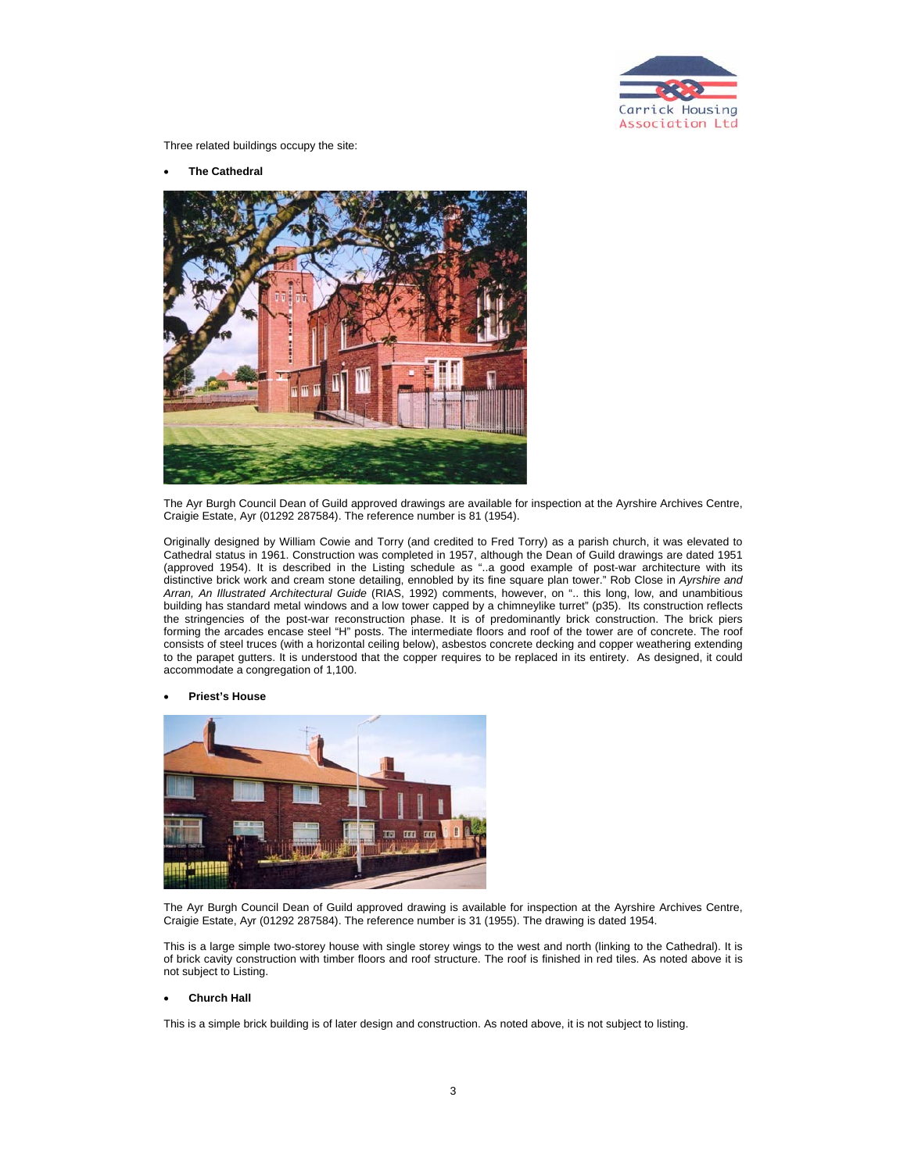

Three related buildings occupy the site:

• **The Cathedral** 



The Ayr Burgh Council Dean of Guild approved drawings are available for inspection at the Ayrshire Archives Centre, Craigie Estate, Ayr (01292 287584). The reference number is 81 (1954).

Originally designed by William Cowie and Torry (and credited to Fred Torry) as a parish church, it was elevated to Cathedral status in 1961. Construction was completed in 1957, although the Dean of Guild drawings are dated 1951 (approved 1954). It is described in the Listing schedule as "..a good example of post-war architecture with its distinctive brick work and cream stone detailing, ennobled by its fine square plan tower." Rob Close in *Ayrshire and Arran, An Illustrated Architectural Guide* (RIAS, 1992) comments, however, on ".. this long, low, and unambitious building has standard metal windows and a low tower capped by a chimneylike turret" (p35). Its construction reflects the stringencies of the post-war reconstruction phase. It is of predominantly brick construction. The brick piers forming the arcades encase steel "H" posts. The intermediate floors and roof of the tower are of concrete. The roof consists of steel truces (with a horizontal ceiling below), asbestos concrete decking and copper weathering extending to the parapet gutters. It is understood that the copper requires to be replaced in its entirety. As designed, it could accommodate a congregation of 1,100.

• **Priest's House** 



The Ayr Burgh Council Dean of Guild approved drawing is available for inspection at the Ayrshire Archives Centre, Craigie Estate, Ayr (01292 287584). The reference number is 31 (1955). The drawing is dated 1954.

This is a large simple two-storey house with single storey wings to the west and north (linking to the Cathedral). It is of brick cavity construction with timber floors and roof structure. The roof is finished in red tiles. As noted above it is not subject to Listing.

### • **Church Hall**

This is a simple brick building is of later design and construction. As noted above, it is not subject to listing.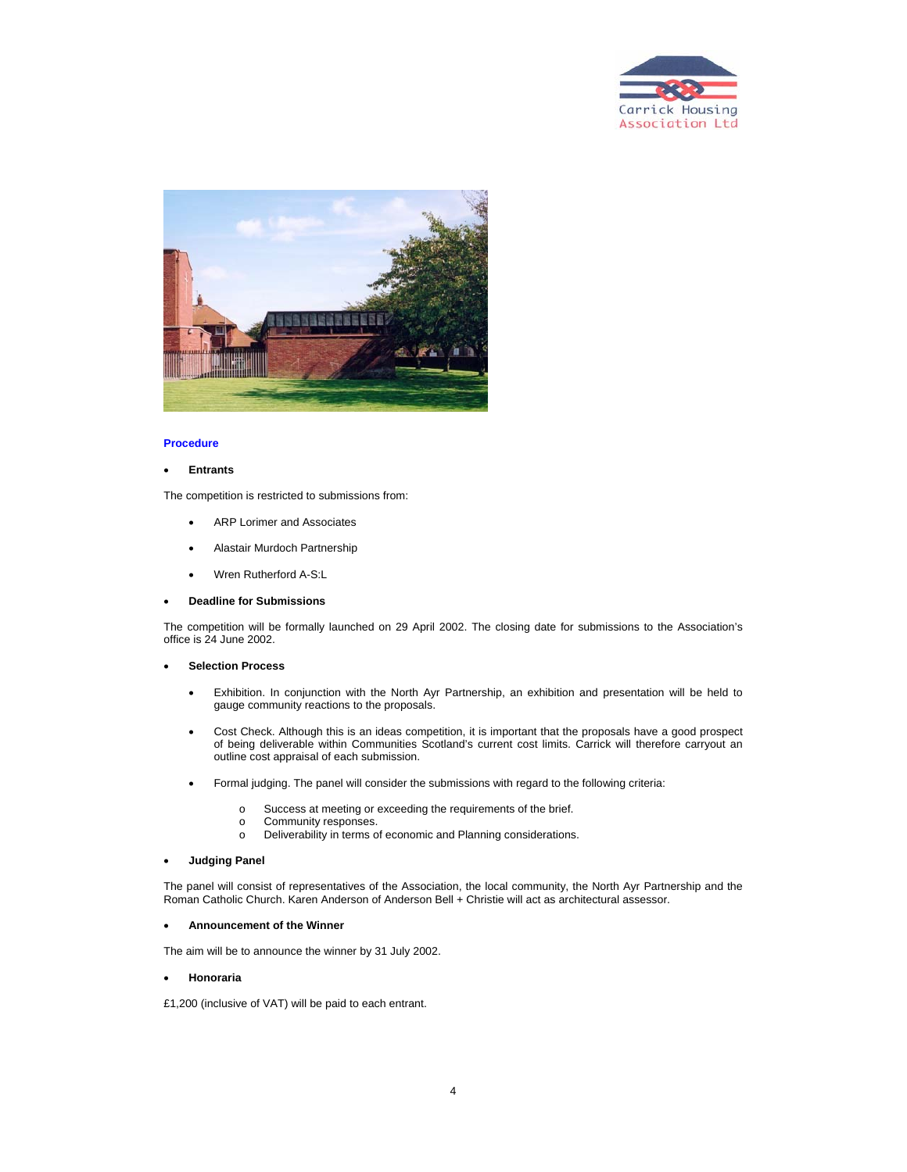



#### **Procedure**

#### • **Entrants**

The competition is restricted to submissions from:

- ARP Lorimer and Associates
- Alastair Murdoch Partnership
- Wren Rutherford A-S:L

#### • **Deadline for Submissions**

The competition will be formally launched on 29 April 2002. The closing date for submissions to the Association's office is 24 June 2002.

# • **Selection Process**

- Exhibition. In conjunction with the North Ayr Partnership, an exhibition and presentation will be held to gauge community reactions to the proposals.
- Cost Check. Although this is an ideas competition, it is important that the proposals have a good prospect of being deliverable within Communities Scotland's current cost limits. Carrick will therefore carryout an outline cost appraisal of each submission.
- Formal judging. The panel will consider the submissions with regard to the following criteria:
	- o Success at meeting or exceeding the requirements of the brief.
	- o Community responses.
	- o Deliverability in terms of economic and Planning considerations.

#### • **Judging Panel**

The panel will consist of representatives of the Association, the local community, the North Ayr Partnership and the Roman Catholic Church. Karen Anderson of Anderson Bell + Christie will act as architectural assessor.

## • **Announcement of the Winner**

The aim will be to announce the winner by 31 July 2002.

# • **Honoraria**

£1,200 (inclusive of VAT) will be paid to each entrant.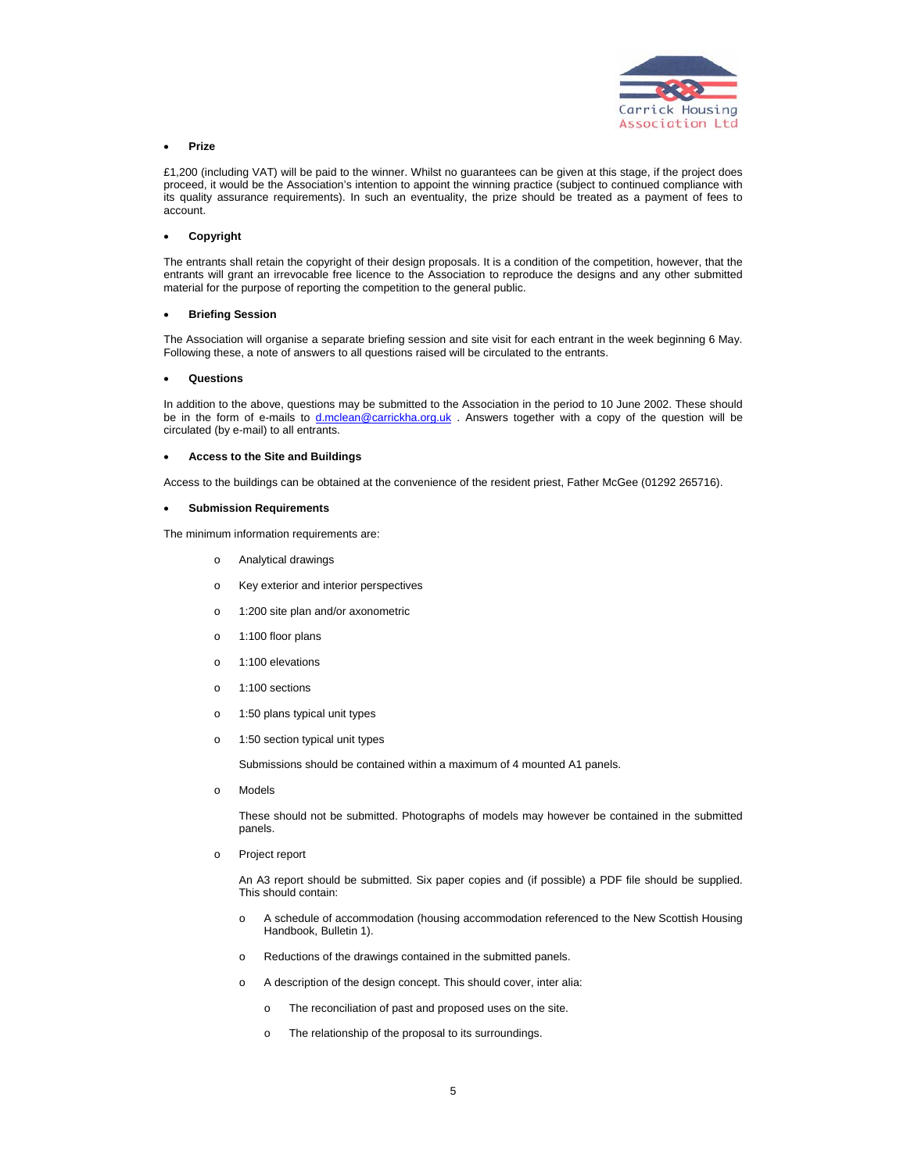

## • **Prize**

£1,200 (including VAT) will be paid to the winner. Whilst no guarantees can be given at this stage, if the project does proceed, it would be the Association's intention to appoint the winning practice (subject to continued compliance with its quality assurance requirements). In such an eventuality, the prize should be treated as a payment of fees to account.

### • **Copyright**

The entrants shall retain the copyright of their design proposals. It is a condition of the competition, however, that the entrants will grant an irrevocable free licence to the Association to reproduce the designs and any other submitted material for the purpose of reporting the competition to the general public.

#### • **Briefing Session**

The Association will organise a separate briefing session and site visit for each entrant in the week beginning 6 May. Following these, a note of answers to all questions raised will be circulated to the entrants.

#### • **Questions**

In addition to the above, questions may be submitted to the Association in the period to 10 June 2002. These should be in the form of e-mails to d.mclean@carrickha.org.uk . Answers together with a copy of the question will be circulated (by e-mail) to all entrants.

#### • **Access to the Site and Buildings**

Access to the buildings can be obtained at the convenience of the resident priest, Father McGee (01292 265716).

#### • **Submission Requirements**

The minimum information requirements are:

- o Analytical drawings
- o Key exterior and interior perspectives
- o 1:200 site plan and/or axonometric
- o 1:100 floor plans
- o 1:100 elevations
- o 1:100 sections
- o 1:50 plans typical unit types
- o 1:50 section typical unit types

Submissions should be contained within a maximum of 4 mounted A1 panels.

o Models

These should not be submitted. Photographs of models may however be contained in the submitted panels.

o Project report

An A3 report should be submitted. Six paper copies and (if possible) a PDF file should be supplied. This should contain:

- o A schedule of accommodation (housing accommodation referenced to the New Scottish Housing Handbook, Bulletin 1).
- o Reductions of the drawings contained in the submitted panels.
- o A description of the design concept. This should cover, inter alia:
	- o The reconciliation of past and proposed uses on the site.
	- o The relationship of the proposal to its surroundings.